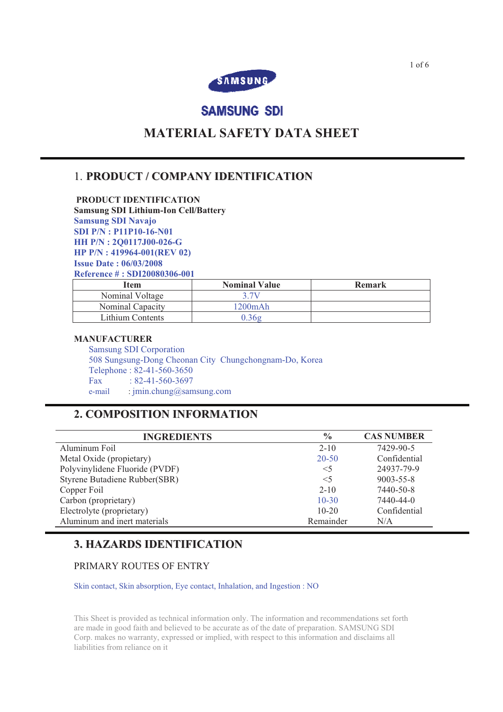

# **SAMSUNG SDI**

# **MATERIAL SAFETY DATA SHEET**

# 1. **PRODUCT / COMPANY IDENTIFICATION**

 **PRODUCT IDENTIFICATION Samsung SDI Lithium-Ion Cell/Battery Samsung SDI Navajo SDI P/N : P11P10-16-N01 HH P/N : 2Q0117J00-026-G HP P/N : 419964-001(REV 02) Issue Date : 06/03/2008 Reference # : SDI20080306-001** 

| Item             | <b>Nominal Value</b> | <b>Remark</b> |
|------------------|----------------------|---------------|
| Nominal Voltage  | 3 7V                 |               |
| Nominal Capacity | 1200mAh              |               |
| Lithium Contents | 0.36g                |               |

### **MANUFACTURER**

Samsung SDI Corporation 508 Sungsung-Dong Cheonan City Chungchongnam-Do, Korea Telephone : 82-41-560-3650 Fax:  $\frac{1}{82-41-560-3697}$ e-mail : jmin.chung@samsung.com

# **2. COMPOSITION INFORMATION**

| <b>INGREDIENTS</b>             | $\frac{0}{0}$ | <b>CAS NUMBER</b> |
|--------------------------------|---------------|-------------------|
| Aluminum Foil                  | $2 - 10$      | 7429-90-5         |
| Metal Oxide (propietary)       | $20 - 50$     | Confidential      |
| Polyvinylidene Fluoride (PVDF) | $<$ 5         | 24937-79-9        |
| Styrene Butadiene Rubber(SBR)  | $<$ 5         | $9003 - 55 - 8$   |
| Copper Foil                    | $2 - 10$      | 7440-50-8         |
| Carbon (proprietary)           | $10 - 30$     | 7440-44-0         |
| Electrolyte (proprietary)      | $10 - 20$     | Confidential      |
| Aluminum and inert materials   | Remainder     | N/A               |

# **3. HAZARDS IDENTIFICATION**

## PRIMARY ROUTES OF ENTRY

Skin contact, Skin absorption, Eye contact, Inhalation, and Ingestion : NO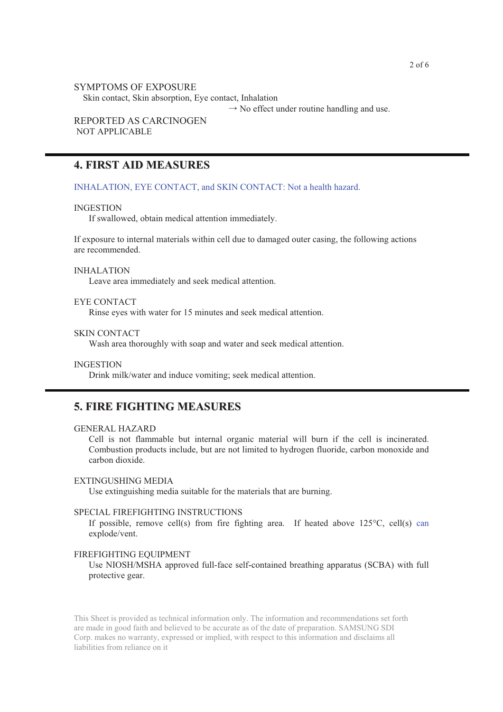#### SYMPTOMS OF EXPOSURE

Skin contact, Skin absorption, Eye contact, Inhalation

 $\rightarrow$  No effect under routine handling and use.

## REPORTED AS CARCINOGEN NOT APPLICABLE

## **4. FIRST AID MEASURES**

INHALATION, EYE CONTACT, and SKIN CONTACT: Not a health hazard.

#### INGESTION

If swallowed, obtain medical attention immediately.

If exposure to internal materials within cell due to damaged outer casing, the following actions are recommended.

#### INHALATION

Leave area immediately and seek medical attention.

## EYE CONTACT

Rinse eyes with water for 15 minutes and seek medical attention.

#### SKIN CONTACT

Wash area thoroughly with soap and water and seek medical attention.

#### INGESTION

Drink milk/water and induce vomiting; seek medical attention.

## **5. FIRE FIGHTING MEASURES**

### GENERAL HAZARD

Cell is not flammable but internal organic material will burn if the cell is incinerated. Combustion products include, but are not limited to hydrogen fluoride, carbon monoxide and carbon dioxide.

#### EXTINGUSHING MEDIA

Use extinguishing media suitable for the materials that are burning.

#### SPECIAL FIREFIGHTING INSTRUCTIONS

If possible, remove cell(s) from fire fighting area. If heated above  $125^{\circ}$ C, cell(s) can explode/vent.

### FIREFIGHTING EQUIPMENT

Use NIOSH/MSHA approved full-face self-contained breathing apparatus (SCBA) with full protective gear.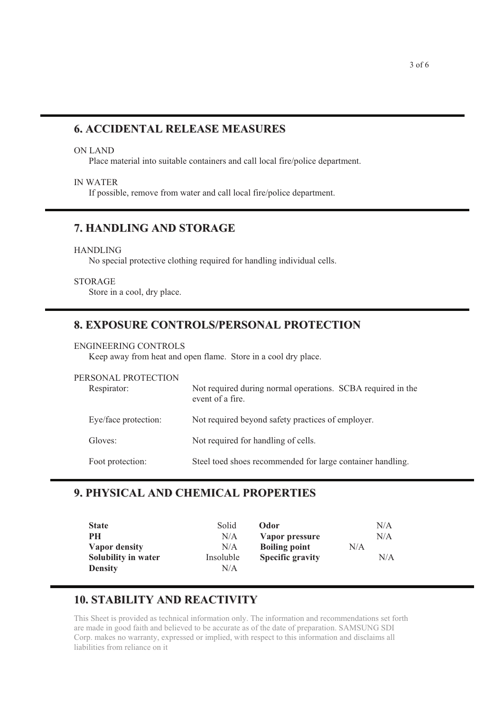# **6. ACCIDENTAL RELEASE MEASURES**

#### ON LAND

Place material into suitable containers and call local fire/police department.

## IN WATER

If possible, remove from water and call local fire/police department.

# **7. HANDLING AND STORAGE**

### HANDLING

No special protective clothing required for handling individual cells.

### STORAGE

Store in a cool, dry place.

## **8. EXPOSURE CONTROLS/PERSONAL PROTECTION**

### ENGINEERING CONTROLS

Keep away from heat and open flame. Store in a cool dry place.

| PERSONAL PROTECTION<br>Respirator: | Not required during normal operations. SCBA required in the<br>event of a fire. |  |
|------------------------------------|---------------------------------------------------------------------------------|--|
| Eye/face protection:               | Not required beyond safety practices of employer.                               |  |
| Gloves:                            | Not required for handling of cells.                                             |  |
| Foot protection:                   | Steel toed shoes recommended for large container handling.                      |  |

# **9. PHYSICAL AND CHEMICAL PROPERTIES**

| <b>State</b>        | Solid     | <b>Odor</b>             |     | N/A |
|---------------------|-----------|-------------------------|-----|-----|
| PН                  | N/A       | Vapor pressure          |     | N/A |
| Vapor density       | N/A       | <b>Boiling point</b>    | N/A |     |
| Solubility in water | Insoluble | <b>Specific gravity</b> |     | N/A |
| <b>Density</b>      | N/A       |                         |     |     |

## **10. STABILITY AND REACTIVITY**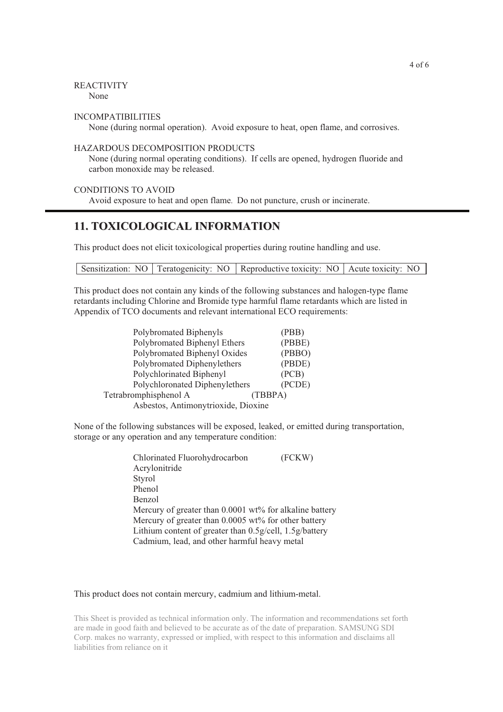### REACTIVITY

None

#### INCOMPATIBILITIES

None (during normal operation). Avoid exposure to heat, open flame, and corrosives.

### HAZARDOUS DECOMPOSITION PRODUCTS

None (during normal operating conditions). If cells are opened, hydrogen fluoride and carbon monoxide may be released.

### CONDITIONS TO AVOID

Avoid exposure to heat and open flame. Do not puncture, crush or incinerate.

## **11. TOXICOLOGICAL INFORMATION**

This product does not elicit toxicological properties during routine handling and use.

Sensitization: NO Teratogenicity: NO Reproductive toxicity: NO Acute toxicity: NO

This product does not contain any kinds of the following substances and halogen-type flame retardants including Chlorine and Bromide type harmful flame retardants which are listed in Appendix of TCO documents and relevant international ECO requirements:

| Polybromated Biphenyls              | (PBB)   |  |
|-------------------------------------|---------|--|
| Polybromated Biphenyl Ethers        | (PBBE)  |  |
| Polybromated Biphenyl Oxides        | (PBBO)  |  |
| Polybromated Diphenylethers         | (PBDE)  |  |
| Polychlorinated Biphenyl            | (PCB)   |  |
| Polychloronated Diphenylethers      | (PCDE)  |  |
| Tetrabromphisphenol A               | (TBBPA) |  |
| Asbestos, Antimonytrioxide, Dioxine |         |  |
|                                     |         |  |

None of the following substances will be exposed, leaked, or emitted during transportation, storage or any operation and any temperature condition:

| Chlorinated Fluorohydrocarbon                           | (FCKW) |
|---------------------------------------------------------|--------|
| Acrylonitride                                           |        |
| Styrol                                                  |        |
| Phenol                                                  |        |
| Benzol                                                  |        |
| Mercury of greater than 0.0001 wt% for alkaline battery |        |
| Mercury of greater than 0.0005 wt% for other battery    |        |
| Lithium content of greater than 0.5g/cell, 1.5g/battery |        |
| Cadmium, lead, and other harmful heavy metal            |        |
|                                                         |        |

#### This product does not contain mercury, cadmium and lithium-metal.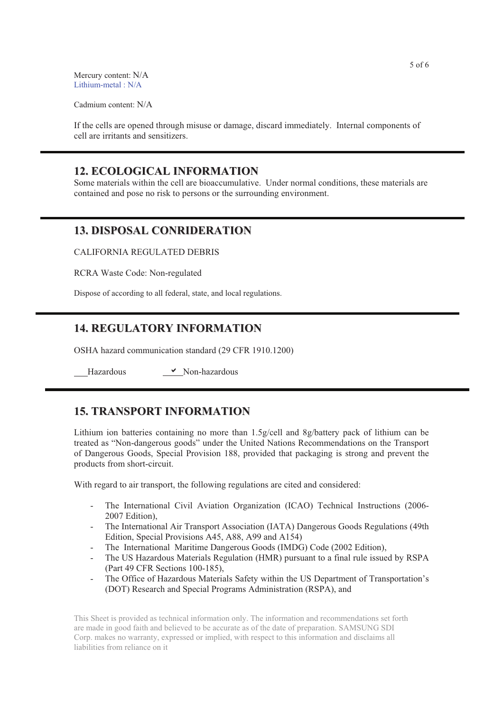Mercury content: N/A Lithium-metal : N/A

Cadmium content: N/A

If the cells are opened through misuse or damage, discard immediately. Internal components of cell are irritants and sensitizers.

## **12. ECOLOGICAL INFORMATION**

Some materials within the cell are bioaccumulative. Under normal conditions, these materials are contained and pose no risk to persons or the surrounding environment.

## **13. DISPOSAL CONRIDERATION**

CALIFORNIA REGULATED DEBRIS

RCRA Waste Code: Non-regulated

Dispose of according to all federal, state, and local regulations.

## **14. REGULATORY INFORMATION**

OSHA hazard communication standard (29 CFR 1910.1200)

Hazardous ! Non-hazardous

## **15. TRANSPORT INFORMATION**

Lithium ion batteries containing no more than 1.5g/cell and 8g/battery pack of lithium can be treated as "Non-dangerous goods" under the United Nations Recommendations on the Transport of Dangerous Goods, Special Provision 188, provided that packaging is strong and prevent the products from short-circuit.

With regard to air transport, the following regulations are cited and considered:

- The International Civil Aviation Organization (ICAO) Technical Instructions (2006- 2007 Edition),
- The International Air Transport Association (IATA) Dangerous Goods Regulations (49th Edition, Special Provisions A45, A88, A99 and A154)
- The International Maritime Dangerous Goods (IMDG) Code (2002 Edition),
- The US Hazardous Materials Regulation (HMR) pursuant to a final rule issued by RSPA (Part 49 CFR Sections 100-185),
- The Office of Hazardous Materials Safety within the US Department of Transportation's (DOT) Research and Special Programs Administration (RSPA), and